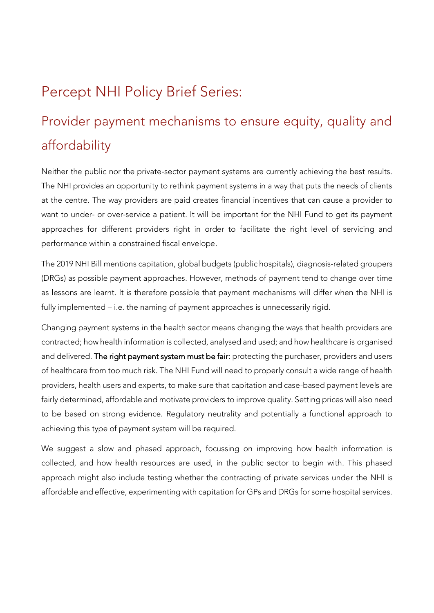## Percept NHI Policy Brief Series:

# Provider payment mechanisms to ensure equity, quality and affordability

Neither the public nor the private-sector payment systems are currently achieving the best results. The NHI provides an opportunity to rethink payment systems in a way that puts the needs of clients at the centre. The way providers are paid creates financial incentives that can cause a provider to want to under- or over-service a patient. It will be important for the NHI Fund to get its payment approaches for different providers right in order to facilitate the right level of servicing and performance within a constrained fiscal envelope.

The 2019 NHI Bill mentions capitation, global budgets (public hospitals), diagnosis-related groupers (DRGs) as possible payment approaches. However, methods of payment tend to change over time as lessons are learnt. It is therefore possible that payment mechanisms will differ when the NHI is fully implemented – i.e. the naming of payment approaches is unnecessarily rigid.

Changing payment systems in the health sector means changing the ways that health providers are contracted; how health information is collected, analysed and used; and how healthcare is organised and delivered. The right payment system must be fair: protecting the purchaser, providers and users of healthcare from too much risk. The NHI Fund will need to properly consult a wide range of health providers, health users and experts, to make sure that capitation and case-based payment levels are fairly determined, affordable and motivate providers to improve quality. Setting prices will also need to be based on strong evidence. Regulatory neutrality and potentially a functional approach to achieving this type of payment system will be required.

We suggest a slow and phased approach, focussing on improving how health information is collected, and how health resources are used, in the public sector to begin with. This phased approach might also include testing whether the contracting of private services under the NHI is affordable and effective, experimenting with capitation for GPs and DRGs for some hospital services.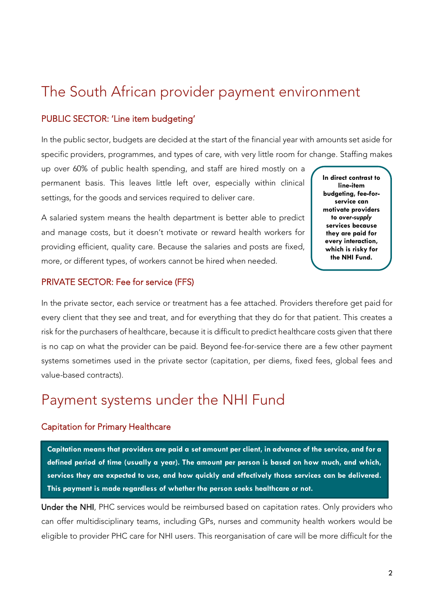### The South African provider payment environment

#### PUBLIC SECTOR: 'Line item budgeting'

In the public sector, budgets are decided at the start of the financial year with amounts set aside for specific providers, programmes, and types of care, with very little room for change. Staffing makes

up over 60% of public health spending, and staff are hired mostly on a permanent basis. This leaves little left over, especially within clinical settings, for the goods and services required to deliver care.

A salaried system means the health department is better able to predict and manage costs, but it doesn't motivate or reward health workers for providing efficient, quality care. Because the salaries and posts are fixed, more, or different types, of workers cannot be hired when needed.

**In direct contrast to line-item budgeting, fee-forservice can motivate providers to** *over-supply* **services because they are paid for every interaction, which is risky for the NHI Fund.**

#### PRIVATE SECTOR: Fee for service (FFS)

In the private sector, each service or treatment has a fee attached. Providers therefore get paid for every client that they see and treat, and for everything that they do for that patient. This creates a risk for the purchasers of healthcare, because it is difficult to predict healthcare costs given that there is no cap on what the provider can be paid. Beyond fee-for-service there are a few other payment systems sometimes used in the private sector (capitation, per diems, fixed fees, global fees and value-based contracts).

### Payment systems under the NHI Fund

#### Capitation for Primary Healthcare

**Capitation means that providers are paid a set amount per client, in advance of the service, and for a defined period of time (usually a year). The amount per person is based on how much, and which, services they are expected to use, and how quickly and effectively those services can be delivered. This payment is made regardless of whether the person seeks healthcare or not.**

Under the NHI, PHC services would be reimbursed based on capitation rates. Only providers who can offer multidisciplinary teams, including GPs, nurses and community health workers would be eligible to provider PHC care for NHI users. This reorganisation of care will be more difficult for the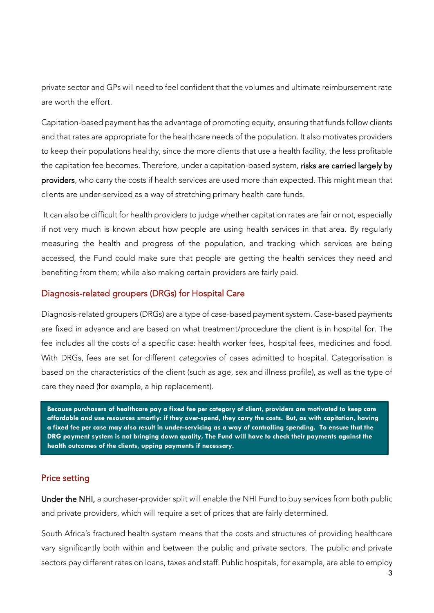private sector and GPs will need to feel confident that the volumes and ultimate reimbursement rate are worth the effort.

Capitation-based payment has the advantage of promoting equity, ensuring that funds follow clients and that rates are appropriate for the healthcare needs of the population. It also motivates providers to keep their populations healthy, since the more clients that use a health facility, the less profitable the capitation fee becomes. Therefore, under a capitation-based system, risks are carried largely by providers, who carry the costs if health services are used more than expected. This might mean that clients are under-serviced as a way of stretching primary health care funds.

It can also be difficult for health providers to judge whether capitation rates are fair or not, especially if not very much is known about how people are using health services in that area. By regularly measuring the health and progress of the population, and tracking which services are being accessed, the Fund could make sure that people are getting the health services they need and benefiting from them; while also making certain providers are fairly paid.

#### Diagnosis-related groupers (DRGs) for Hospital Care

Diagnosis-related groupers (DRGs) are a type of case-based payment system. Case‐based payments are fixed in advance and are based on what treatment/procedure the client is in hospital for. The fee includes all the costs of a specific case: health worker fees, hospital fees, medicines and food. With DRGs, fees are set for different *categories* of cases admitted to hospital. Categorisation is based on the characteristics of the client (such as age, sex and illness profile), as well as the type of care they need (for example, a hip replacement).

**Because purchasers of healthcare pay a fixed fee per category of client, providers are motivated to keep care affordable and use resources smartly: if they over-spend, they carry the costs. But, as with capitation, having a fixed fee per case may also result in under-servicing as a way of controlling spending. To ensure that the DRG payment system is not bringing down quality, The Fund will have to check their payments against the health outcomes of the clients, upping payments if necessary.**

#### Price setting

Under the NHI, a purchaser-provider split will enable the NHI Fund to buy services from both public and private providers, which will require a set of prices that are fairly determined.

South Africa's fractured health system means that the costs and structures of providing healthcare vary significantly both within and between the public and private sectors. The public and private sectors pay different rates on loans, taxes and staff. Public hospitals, for example, are able to employ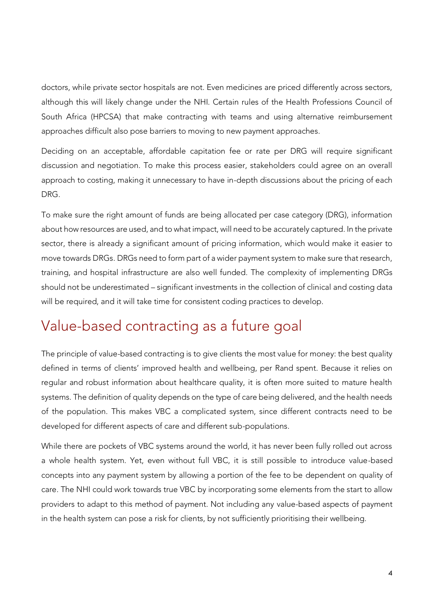doctors, while private sector hospitals are not. Even medicines are priced differently across sectors, although this will likely change under the NHI. Certain rules of the Health Professions Council of South Africa (HPCSA) that make contracting with teams and using alternative reimbursement approaches difficult also pose barriers to moving to new payment approaches.

Deciding on an acceptable, affordable capitation fee or rate per DRG will require significant discussion and negotiation. To make this process easier, stakeholders could agree on an overall approach to costing, making it unnecessary to have in-depth discussions about the pricing of each DRG.

To make sure the right amount of funds are being allocated per case category (DRG), information about how resources are used, and to what impact, will need to be accurately captured. In the private sector, there is already a significant amount of pricing information, which would make it easier to move towards DRGs. DRGs need to form part of a wider payment system to make sure that research, training, and hospital infrastructure are also well funded. The complexity of implementing DRGs should not be underestimated – significant investments in the collection of clinical and costing data will be required, and it will take time for consistent coding practices to develop.

### Value-based contracting as a future goal

The principle of value-based contracting is to give clients the most value for money: the best quality defined in terms of clients' improved health and wellbeing, per Rand spent. Because it relies on regular and robust information about healthcare quality, it is often more suited to mature health systems. The definition of quality depends on the type of care being delivered, and the health needs of the population. This makes VBC a complicated system, since different contracts need to be developed for different aspects of care and different sub-populations.

While there are pockets of VBC systems around the world, it has never been fully rolled out across a whole health system. Yet, even without full VBC, it is still possible to introduce value-based concepts into any payment system by allowing a portion of the fee to be dependent on quality of care. The NHI could work towards true VBC by incorporating some elements from the start to allow providers to adapt to this method of payment. Not including any value-based aspects of payment in the health system can pose a risk for clients, by not sufficiently prioritising their wellbeing.